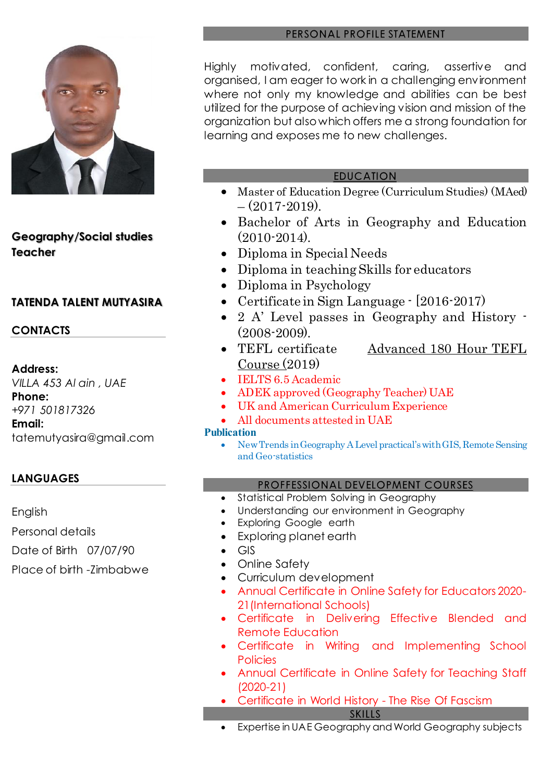

**Geography/Social studies Teacher**

### **TATENDA TALENT MUTYASIRA**

### **CONTACTS**

#### **Address:**

*VILLA 453 Al ain , UAE* **Phone:** *+971 501817326* **Email:**

tatemutyasira@gmail.com

# **LANGUAGES**

English Personal details

Date of Birth 07/07/90

Place of birth -Zimbabwe

#### PERSONAL PROFILE STATEMENT

Highly motivated, confident, caring, assertive and organised, I am eager to work in a challenging environment where not only my knowledge and abilities can be best utilized for the purpose of achieving vision and mission of the organization but also which offers me a strong foundation for learning and exposes me to new challenges.

#### **EDUCATION**

- Master of Education Degree (Curriculum Studies) (MAed)  $-$  (2017-2019).
- Bachelor of Arts in Geography and Education (2010-2014).
- Diploma in Special Needs
- Diploma in teaching Skills for educators
- Diploma in Psychology
- Certificate in Sign Language [2016-2017]
- 2 A' Level passes in Geography and History  $\cdot$ (2008-2009).
- TEFL certificate [Advanced 180 Hour TEFL](about:blank)  [Course](about:blank) (2019)
- IELTS 6.5 Academic
- ADEK approved (Geography Teacher) UAE
- UK and American Curriculum Experience
- All documents attested in UAE

#### **Publication**

 New Trends in Geography A Level practical's with GIS, Remote Sensing and Geo-statistics

#### PROFFESSIONAL DEVELOPMENT COURSES

- Statistical Problem Solving in [Geography](about:blank)
- Understanding our environment in Geography
- Exploring Google earth
- Exploring planet earth
- GIS
- Online Safety
- Curriculum development
- Annual Certificate in Online Safety for Educators 2020- 21(International Schools)
- Certificate in Delivering Effective Blended and Remote Education
- Certificate in Writing and Implementing School **Policies**
- Annual Certificate in Online Safety for Teaching Staff (2020-21)
- Certificate in World History The Rise Of Fascism
	- **SKILLS**
	- Expertise in UAE Geography and World Geography subjects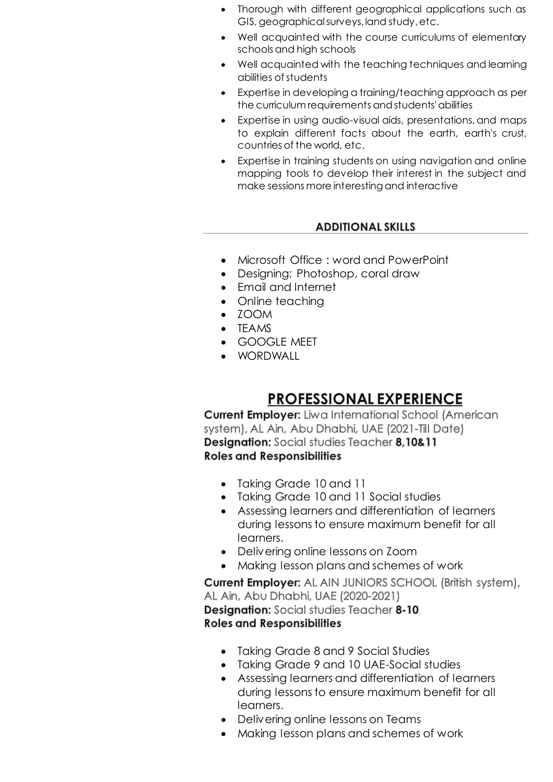- Thorough with different geographical applications such as GIS, geographical surveys, land study, etc.
- Well acquainted with the course curriculums of elementary schools and high schools
- Well acquainted with the teaching techniques and learning abilities of students
- Expertise in developing a training/teaching approach as per the curriculum requirements and students' abilities
- Expertise in using audio-visual aids, presentations, and maps to explain different facts about the earth, earth's crust, countries of the world, etc.
- Expertise in training students on using navigation and online mapping tools to develop their interest in the subject and make sessions more interesting and interactive

### **ADDITIONAL SKILLS**

- Microsoft Office : word and PowerPoint
- Designing: Photoshop, coral draw
- Email and Internet
- Online teaching
- ZOOM
- TEAMS
- GOOGLE MEET
- WORDWALL

# **PROFESSIONAL EXPERIENCE**

**Current Employer:** Liwa International School (American system), AL Ain, Abu Dhabhi, UAE (2021-Till Date) Designation: Social studies Teacher 8,10&11 **Roles and Responsibilities** 

- Taking Grade 10 and 11
- Taking Grade 10 and 11 Social studies
- Assessing learners and differentiation of learners during lessons to ensure maximum benefit for all learners.
- Delivering online lessons on Zoom
- Making lesson plans and schemes of work

**Current Employer:** AL AIN JUNIORS SCHOOL (British system), AL Ain, Abu Dhabhi, UAE (2020-2021) **Designation:** Social studies Teacher 8-10 **Roles and Responsibilities** 

- Taking Grade 8 and 9 Social Studies
- Taking Grade 9 and 10 UAE-Social studies
- Assessing learners and differentiation of learners during lessons to ensure maximum benefit for all learners.
- Delivering online lessons on Teams
- Making lesson plans and schemes of work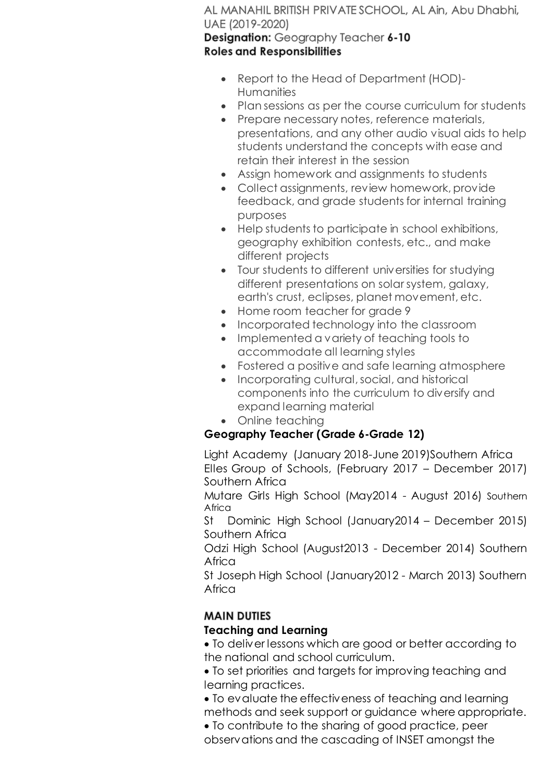AL MANAHIL BRITISH PRIVATE SCHOOL, AL Ain, Abu Dhabhi, UAE (2019-2020) Designation: Geography Teacher 6-10

**Roles and Responsibilities** 

- Report to the Head of Department (HOD)- **Humanities**
- Plan sessions as per the course curriculum for students
- Prepare necessary notes, reference materials, presentations, and any other audio visual aids to help students understand the concepts with ease and retain their interest in the session
- Assign homework and assignments to students
- Collect assignments, review homework, provide feedback, and grade students for internal training purposes
- Help students to participate in school exhibitions, geography exhibition contests, etc., and make different projects
- Tour students to different universities for studying different presentations on solar system, galaxy, earth's crust, eclipses, planet movement, etc.
- Home room teacher for grade 9
- Incorporated technology into the classroom
- Implemented a variety of teaching tools to accommodate all learning styles
- Fostered a positive and safe learning atmosphere
- Incorporating cultural, social, and historical components into the curriculum to diversify and expand learning material
- Online teaching

# **Geography Teacher (Grade 6-Grade 12)**

Light Academy (January 2018-June 2019)Southern Africa Elles Group of Schools, (February 2017 – December 2017) Southern Africa

Mutare Girls High School (May2014 - August 2016) Southern Africa

St Dominic High School (January2014 – December 2015) Southern Africa

Odzi High School (August2013 - December 2014) Southern Africa

St Joseph High School (January2012 - March 2013) Southern Africa

# **MAIN DUTIES**

# **Teaching and Learning**

 To deliver lessons which are good or better according to the national and school curriculum.

 To set priorities and targets for improving teaching and learning practices.

 To evaluate the effectiveness of teaching and learning methods and seek support or guidance where appropriate.

 To contribute to the sharing of good practice, peer observations and the cascading of INSET amongst the